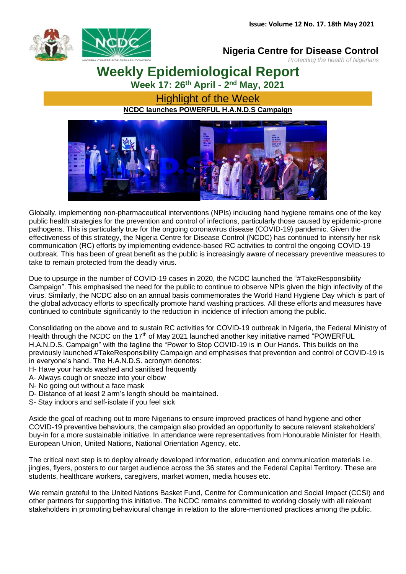

### **Nigeria Centre for Disease Control**

*Protecting the health of Nigerians*

**Weekly Epidemiological Report**

**Week 17: 26th April - 2 nd May, 2021**

Highlight of the Week **NCDC launches POWERFUL H.A.N.D.S Campaign**



Globally, implementing non-pharmaceutical interventions (NPIs) including hand hygiene remains one of the key public health strategies for the prevention and control of infections, particularly those caused by epidemic-prone pathogens. This is particularly true for the ongoing coronavirus disease (COVID-19) pandemic. Given the effectiveness of this strategy, the Nigeria Centre for Disease Control (NCDC) has continued to intensify her risk communication (RC) efforts by implementing evidence-based RC activities to control the ongoing COVID-19 outbreak. This has been of great benefit as the public is increasingly aware of necessary preventive measures to take to remain protected from the deadly virus.

Due to upsurge in the number of COVID-19 cases in 2020, the NCDC launched the "#TakeResponsibility Campaign". This emphasised the need for the public to continue to observe NPIs given the high infectivity of the virus. Similarly, the NCDC also on an annual basis commemorates the World Hand Hygiene Day which is part of the global advocacy efforts to specifically promote hand washing practices. All these efforts and measures have continued to contribute significantly to the reduction in incidence of infection among the public.

Consolidating on the above and to sustain RC activities for COVID-19 outbreak in Nigeria, the Federal Ministry of Health through the NCDC on the 17<sup>th</sup> of May 2021 launched another key initiative named "POWERFUL H.A.N.D.S. Campaign" with the tagline the "Power to Stop COVID-19 is in Our Hands. This builds on the previously launched #TakeResponsibility Campaign and emphasises that prevention and control of COVID-19 is in everyone's hand. The H.A.N.D.S. acronym denotes:

- H- Have your hands washed and sanitised frequently
- A- Always cough or sneeze into your elbow
- N- No going out without a face mask
- D- Distance of at least 2 arm's length should be maintained.
- S- Stay indoors and self-isolate if you feel sick

Aside the goal of reaching out to more Nigerians to ensure improved practices of hand hygiene and other COVID-19 preventive behaviours, the campaign also provided an opportunity to secure relevant stakeholders' buy-in for a more sustainable initiative. In attendance were representatives from Honourable Minister for Health, European Union, United Nations, National Orientation Agency, etc.

The critical next step is to deploy already developed information, education and communication materials i.e. jingles, flyers, posters to our target audience across the 36 states and the Federal Capital Territory. These are students, healthcare workers, caregivers, market women, media houses etc.

We remain grateful to the United Nations Basket Fund, Centre for Communication and Social Impact (CCSI) and other partners for supporting this initiative. The NCDC remains committed to working closely with all relevant stakeholders in promoting behavioural change in relation to the afore-mentioned practices among the public.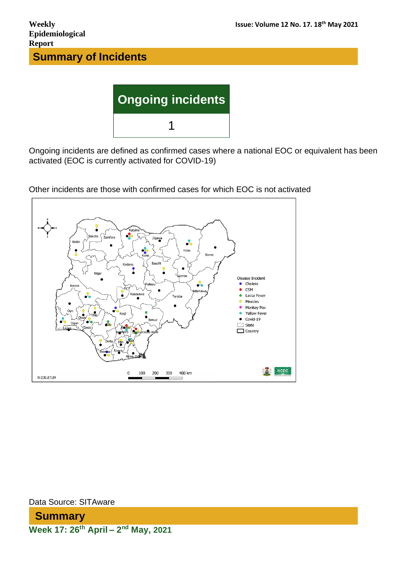

Ongoing incidents are defined as confirmed cases where a national EOC or equivalent has been activated (EOC is currently activated for COVID-19)



Other incidents are those with confirmed cases for which EOC is not activated

Data Source: SITAware

**Summary Week 17: 26th April – 2 nd May, 2021**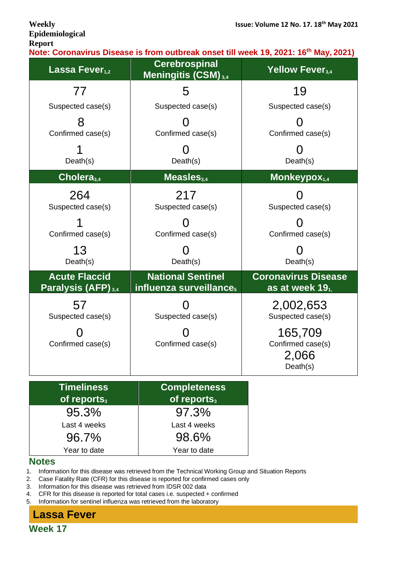# **Epidemiological Report**

**Note: Coronavirus Disease is from outbreak onset till week 19, 2021: 16th May, 2021)**

| Lassa Fever <sub>1.2</sub>                             | <b>Cerebrospinal</b><br>Meningitis (CSM) <sub>3,4</sub>         | Yellow Fever <sub>3.4</sub>                       |
|--------------------------------------------------------|-----------------------------------------------------------------|---------------------------------------------------|
| 77                                                     | 5                                                               | 19                                                |
| Suspected case(s)                                      | Suspected case(s)                                               | Suspected case(s)                                 |
| Confirmed case(s)                                      | Confirmed case(s)                                               | Confirmed case(s)                                 |
| Death(s)                                               | Death(s)                                                        | Death(s)                                          |
| Cholera <sub>3,4</sub>                                 | Measles $_{3,4}$                                                | Monkeypox <sub>1,4</sub>                          |
| 264<br>Suspected case(s)                               | 217<br>Suspected case(s)                                        | Suspected case(s)                                 |
| Confirmed case(s)                                      | Confirmed case(s)                                               | Confirmed case(s)                                 |
| 13<br>Death(s)                                         | Death(s)                                                        | Death(s)                                          |
| <b>Acute Flaccid</b><br>Paralysis (AFP) <sub>3,4</sub> | <b>National Sentinel</b><br>influenza surveillance <sub>5</sub> | <b>Coronavirus Disease</b><br>as at week $191$    |
| 57<br>Suspected case(s)                                | Suspected case(s)                                               | 2,002,653<br>Suspected case(s)                    |
| Confirmed case(s)                                      | Confirmed case(s)                                               | 165,709<br>Confirmed case(s)<br>2,066<br>Death(s) |

| <b>Timeliness</b><br>of reports <sub>3</sub> | <b>Completeness</b><br>of reports <sub>3</sub> |
|----------------------------------------------|------------------------------------------------|
| 95.3%                                        | 97.3%                                          |
| Last 4 weeks                                 | Last 4 weeks                                   |
| 96.7%                                        | 98.6%                                          |
| Year to date                                 | Year to date                                   |

#### **Notes**

1. Information for this disease was retrieved from the Technical Working Group and Situation Reports

2. Case Fatality Rate (CFR) for this disease is reported for confirmed cases only

3. Information for this disease was retrieved from IDSR 002 data

4. CFR for this disease is reported for total cases i.e. suspected + confirmed

5. Information for sentinel influenza was retrieved from the laboratory

# **Lassa Fever**

**Week 17**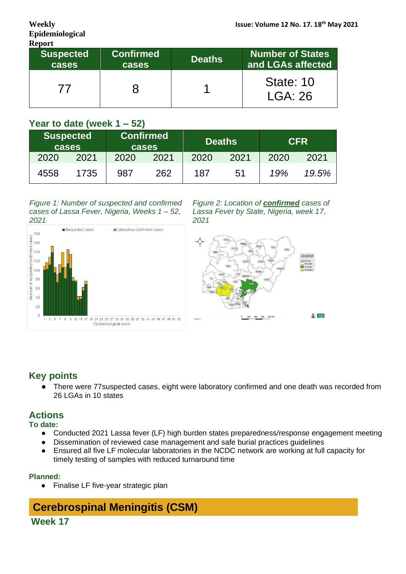| <b>Report</b>             |                           |               |                                              |  |  |  |  |
|---------------------------|---------------------------|---------------|----------------------------------------------|--|--|--|--|
| <b>Suspected</b><br>cases | <b>Confirmed</b><br>cases | <b>Deaths</b> | <b>Number of States</b><br>and LGAs affected |  |  |  |  |
|                           |                           |               | State: 10<br>LGA:26                          |  |  |  |  |

## **Year to date (week 1 – 52)**

|      | <b>Suspected</b><br><b>cases</b> |      | <b>Confirmed</b><br><b>cases</b> |      | <b>Deaths</b> |      | <b>CFR</b> |
|------|----------------------------------|------|----------------------------------|------|---------------|------|------------|
| 2020 | 2021                             | 2020 | 2021                             | 2020 | 2021          | 2020 | 2021       |
| 4558 | 1735                             | 987  | 262                              | 187  | 51            | 19%  | 19.5%      |

#### *Figure 1: Number of suspected and confirmed cases of Lassa Fever, Nigeria, Weeks 1 – 52, 2021*



*Figure 2: Location of confirmed cases of Lassa Fever by State, Nigeria, week 17, 2021*



## **Key points**

● There were 77suspected cases, eight were laboratory confirmed and one death was recorded from 26 LGAs in 10 states

## **Actions**

#### **To date:**

- Conducted 2021 Lassa fever (LF) high burden states preparedness/response engagement meeting
- Dissemination of reviewed case management and safe burial practices guidelines
- Ensured all five LF molecular laboratories in the NCDC network are working at full capacity for timely testing of samples with reduced turnaround time

#### **Planned:**

● Finalise LF five-year strategic plan

# **Cerebrospinal Meningitis (CSM)**

**Week 17**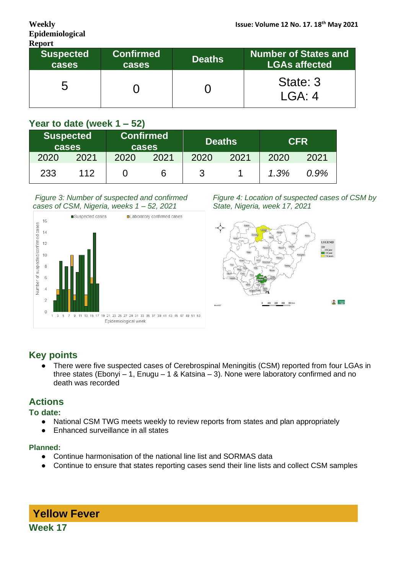| <b>Report</b>             |                                  |               |                                                     |  |  |  |  |
|---------------------------|----------------------------------|---------------|-----------------------------------------------------|--|--|--|--|
| <b>Suspected</b><br>cases | <b>Confirmed</b><br><b>cases</b> | <b>Deaths</b> | <b>Number of States and</b><br><b>LGAs affected</b> |  |  |  |  |
| ხ                         |                                  |               | State: 3<br>$IGA \cdot 4$                           |  |  |  |  |

## **Year to date (week 1 – 52)**

| <b>Suspected</b><br>cases |      |      | <b>Confirmed</b><br>cases |      | <b>Deaths</b> |      | <b>CFR</b> |
|---------------------------|------|------|---------------------------|------|---------------|------|------------|
| 2020                      | 2021 | 2020 | 2021                      | 2020 | 2021          | 2020 | 2021       |
| 233                       | 112  |      | р                         | 3    |               | 1.3% | 0.9%       |

#### *Figure 3: Number of suspected and confirmed cases of CSM, Nigeria, weeks 1 – 52, 2021*



*Figure 4: Location of suspected cases of CSM by State, Nigeria, week 17, 2021*



# **Key points**

● There were five suspected cases of Cerebrospinal Meningitis (CSM) reported from four LGAs in three states (Ebonyi – 1, Enugu – 1 & Katsina – 3). None were laboratory confirmed and no death was recorded

## **Actions**

#### **To date:**

- National CSM TWG meets weekly to review reports from states and plan appropriately
- Enhanced surveillance in all states

#### **Planned:**

- Continue harmonisation of the national line list and SORMAS data
- Continue to ensure that states reporting cases send their line lists and collect CSM samples

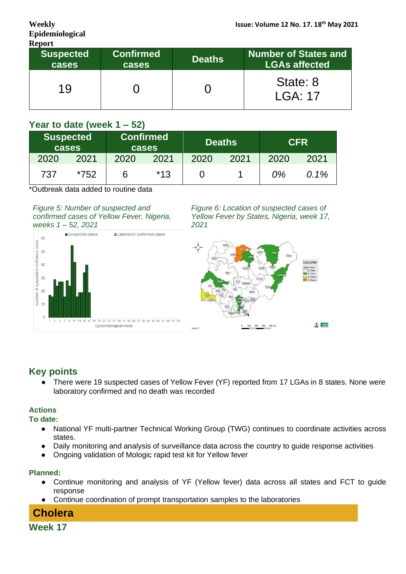| <b>Report</b>             |                           |               |                                                     |  |  |  |  |
|---------------------------|---------------------------|---------------|-----------------------------------------------------|--|--|--|--|
| <b>Suspected</b><br>cases | <b>Confirmed</b><br>cases | <b>Deaths</b> | <b>Number of States and</b><br><b>LGAs affected</b> |  |  |  |  |
| 19                        |                           |               | State: 8<br>LGA:17                                  |  |  |  |  |

# **Year to date (week 1 – 52)**

| <b>Suspected</b><br>cases |      |      | <b>Confirmed</b><br>cases |      | <b>Deaths</b> |      | <b>CFR</b> |
|---------------------------|------|------|---------------------------|------|---------------|------|------------|
| 2020                      | 2021 | 2020 | 2021                      | 2020 | 2021          | 2020 | 2021       |
| 737                       | *752 |      | $*13$                     |      |               | 0%   | $0.1\%$    |

\*Outbreak data added to routine data

#### *Figure 5: Number of suspected and confirmed cases of Yellow Fever, Nigeria, weeks 1 – 52, 2021*



*Figure 6: Location of suspected cases of Yellow Fever by States, Nigeria, week 17, 2021*



# **Key points**

There were 19 suspected cases of Yellow Fever (YF) reported from 17 LGAs in 8 states. None were laboratory confirmed and no death was recorded

### **Actions**

#### **To date:**

- National YF multi-partner Technical Working Group (TWG) continues to coordinate activities across states.
- Daily monitoring and analysis of surveillance data across the country to guide response activities
- Ongoing validation of Mologic rapid test kit for Yellow fever

#### **Planned:**

- Continue monitoring and analysis of YF (Yellow fever) data across all states and FCT to guide response
- Continue coordination of prompt transportation samples to the laboratories

# **Cholera**

**Week 17**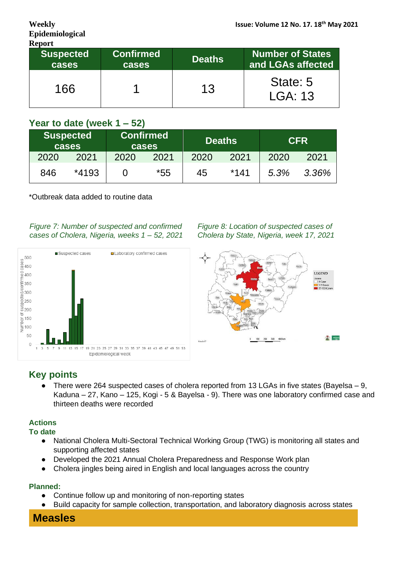| <b>Report</b>             |                           |               |                                       |  |  |  |  |
|---------------------------|---------------------------|---------------|---------------------------------------|--|--|--|--|
| <b>Suspected</b><br>cases | <b>Confirmed</b><br>cases | <b>Deaths</b> | Number of States<br>and LGAs affected |  |  |  |  |
| 166                       |                           | 13            | State: 5<br>LGA: 13                   |  |  |  |  |

# **Year to date (week 1 – 52)**

|      | <b>Suspected</b><br><b>cases</b> |      | <b>Confirmed</b><br><b>cases</b> | <b>Deaths</b> |        | <b>CFR</b> |       |
|------|----------------------------------|------|----------------------------------|---------------|--------|------------|-------|
| 2020 | 2021                             | 2020 | 2021                             | 2020          | 2021   | 2020       | 2021  |
| 846  | *4193                            |      | $*55$                            | 45            | $*141$ | 5.3%       | 3.36% |

\*Outbreak data added to routine data

*Figure 7: Number of suspected and confirmed cases of Cholera, Nigeria, weeks 1 – 52, 2021*



*Figure 8: Location of suspected cases of Cholera by State, Nigeria, week 17, 2021*



# **Key points**

There were 264 suspected cases of cholera reported from 13 LGAs in five states (Bayelsa – 9, Kaduna – 27, Kano – 125, Kogi - 5 & Bayelsa - 9). There was one laboratory confirmed case and thirteen deaths were recorded

### **Actions**

**To date**

- National Cholera Multi-Sectoral Technical Working Group (TWG) is monitoring all states and supporting affected states
- Developed the 2021 Annual Cholera Preparedness and Response Work plan
- Cholera jingles being aired in English and local languages across the country

#### **Planned:**

- Continue follow up and monitoring of non-reporting states
- Build capacity for sample collection, transportation, and laboratory diagnosis across states

# **Measles**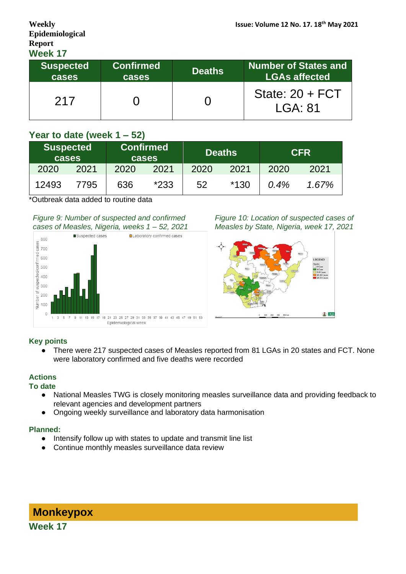# **Epidemiological Report Week 17**

| WEEK I                    |                           |               |                                                     |
|---------------------------|---------------------------|---------------|-----------------------------------------------------|
| <b>Suspected</b><br>cases | <b>Confirmed</b><br>cases | <b>Deaths</b> | <b>Number of States and</b><br><b>LGAs affected</b> |
| 217                       |                           |               | State: $20 + FCT$<br>LGA: 81                        |

## **Year to date (week 1 – 52)**

| <b>Suspected</b><br>cases |      |      | <b>Confirmed</b><br>cases |      | <b>Deaths</b> |      | <b>CFR</b> |
|---------------------------|------|------|---------------------------|------|---------------|------|------------|
| 2020                      | 2021 | 2020 | 2021                      | 2020 | 2021          | 2020 | 2021       |
| 12493                     | 7795 | 636  | $*233$                    | 52   | $*130$        | 0.4% | 1.67%      |

\*Outbreak data added to routine data

#### *Figure 9: Number of suspected and confirmed cases of Measles, Nigeria, weeks 1 – 52, 2021*



*Figure 10: Location of suspected cases of Measles by State, Nigeria, week 17, 2021*



#### **Key points**

● There were 217 suspected cases of Measles reported from 81 LGAs in 20 states and FCT. None were laboratory confirmed and five deaths were recorded

#### **Actions**

#### **To date**

- National Measles TWG is closely monitoring measles surveillance data and providing feedback to relevant agencies and development partners
- Ongoing weekly surveillance and laboratory data harmonisation

#### **Planned:**

- Intensify follow up with states to update and transmit line list
- Continue monthly measles surveillance data review

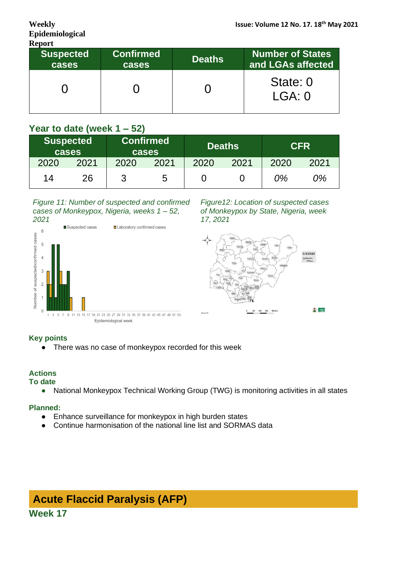| <b>Report</b>             |                           |               |                                       |  |  |
|---------------------------|---------------------------|---------------|---------------------------------------|--|--|
| <b>Suspected</b><br>cases | <b>Confirmed</b><br>cases | <b>Deaths</b> | Number of States<br>and LGAs affected |  |  |
|                           |                           |               | State: 0<br>LGA:0                     |  |  |

# **Year to date (week 1 – 52)**

|      | <b>Suspected</b><br>cases |      | <b>Confirmed</b><br><b>cases</b> | <b>Deaths</b> |      | <b>CFR</b> |      |
|------|---------------------------|------|----------------------------------|---------------|------|------------|------|
| 2020 | 2021                      | 2020 | 2021                             | 2020          | 2021 | 2020       | 2021 |
| 14   | 26                        | ຊ    | 5                                |               |      | 0%         | 0%   |

#### *Figure 11: Number of suspected and confirmed cases of Monkeypox, Nigeria, weeks 1 – 52, 2021*



*Figure12: Location of suspected cases of Monkeypox by State, Nigeria, week 17, 2021*



#### **Key points**

● There was no case of monkeypox recorded for this week

#### **Actions**

#### **To date**

● National Monkeypox Technical Working Group (TWG) is monitoring activities in all states

#### **Planned:**

- Enhance surveillance for monkeypox in high burden states
- Continue harmonisation of the national line list and SORMAS data

# **Acute Flaccid Paralysis (AFP) Week 17**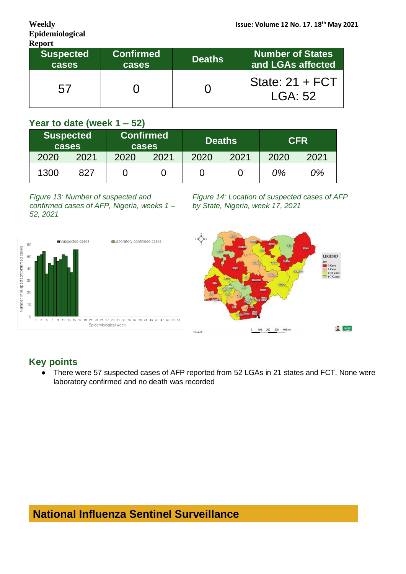| <b>Report</b>             |                                  |               |                                              |  |
|---------------------------|----------------------------------|---------------|----------------------------------------------|--|
| <b>Suspected</b><br>cases | <b>Confirmed</b><br><b>cases</b> | <b>Deaths</b> | <b>Number of States</b><br>and LGAs affected |  |
| 5/                        |                                  |               | State: $21 + FCT$<br><b>LGA: 52</b>          |  |

## **Year to date (week 1 – 52)**

|      | <b>Suspected</b><br>cases |      | <b>Confirmed</b><br><b>cases</b> |      | <b>Deaths</b> | <b>CFR</b> |      |
|------|---------------------------|------|----------------------------------|------|---------------|------------|------|
| 2020 | 2021                      | 2020 | 2021                             | 2020 | 2021          | 2020       | 2021 |
| 1300 | 827                       |      |                                  |      |               | 0%         | 0%   |

*Figure 13: Number of suspected and confirmed cases of AFP, Nigeria, weeks 1 – 52, 2021*

*Figure 14: Location of suspected cases of AFP by State, Nigeria, week 17, 2021*



# **Key points**

There were 57 suspected cases of AFP reported from 52 LGAs in 21 states and FCT. None were laboratory confirmed and no death was recorded

# **National Influenza Sentinel Surveillance**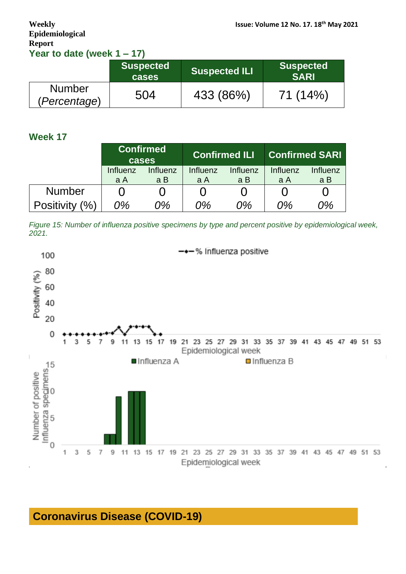# **Epidemiological Report Year to date (week 1 – 17)**

|                               | Suspected <sup>1</sup><br><b>cases</b> | <b>Suspected ILI</b> | <b>Suspected</b><br><b>SARI</b> |
|-------------------------------|----------------------------------------|----------------------|---------------------------------|
| <b>Number</b><br>(Percentage) | 504                                    | 433 (86%)            | 71 (14%)                        |

## **Week 17**

|                                    | <b>Confirmed</b><br>cases |                 |                 | <b>Confirmed ILI</b> | <b>Confirmed SARI</b> |                 |
|------------------------------------|---------------------------|-----------------|-----------------|----------------------|-----------------------|-----------------|
|                                    | Influenz<br>a A           | Influenz<br>a B | Influenz<br>a A | Influenz<br>a B      | Influenz<br>a A       | Influenz<br>a B |
| <b>Number</b>                      |                           |                 |                 |                      |                       |                 |
| <b>Positivity</b><br>$\frac{1}{2}$ | 0%                        | ን%              | 0%              | 0%                   | 0%                    | 0%              |

*Figure 15: Number of influenza positive specimens by type and percent positive by epidemiological week, 2021.*



# **Coronavirus Disease (COVID-19)**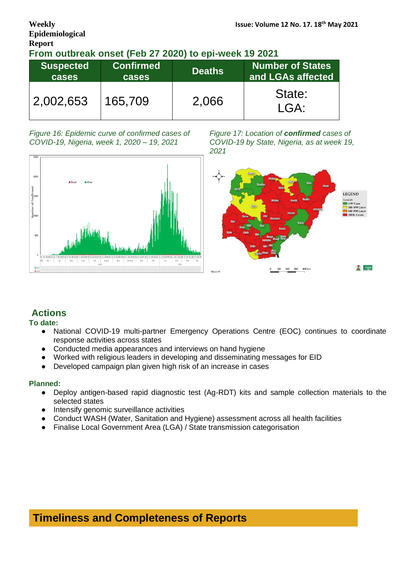# **Epidemiological Report**

#### **From outbreak onset (Feb 27 2020) to epi-week 19 2021**

| <b>Suspected</b><br><b>cases</b> | <b>Confirmed</b><br>cases | <b>Deaths</b> | Number of States<br>and LGAs affected |  |
|----------------------------------|---------------------------|---------------|---------------------------------------|--|
| 2,002,653                        | 165,709                   | 2,066         | State:<br>LGA:                        |  |

*Figure 16: Epidemic curve of confirmed cases of COVID-19, Nigeria, week 1, 2020 – 19, 2021*



*Figure 17: Location of confirmed cases of COVID-19 by State, Nigeria, as at week 19, 2021*



### **Actions**

#### **To date:**

- National COVID-19 multi-partner Emergency Operations Centre (EOC) continues to coordinate response activities across states
- Conducted media appearances and interviews on hand hygiene
- Worked with religious leaders in developing and disseminating messages for EID
- Developed campaign plan given high risk of an increase in cases

#### **Planned:**

- Deploy antigen-based rapid diagnostic test (Ag-RDT) kits and sample collection materials to the selected states
- Intensify genomic surveillance activities
- Conduct WASH (Water, Sanitation and Hygiene) assessment across all health facilities
- Finalise Local Government Area (LGA) / State transmission categorisation

**Timeliness and Completeness of Reports**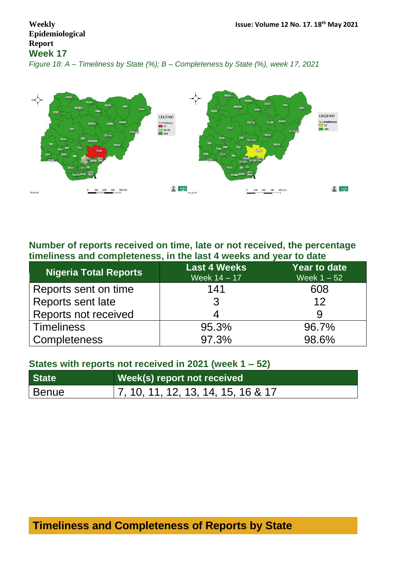# **Epidemiological Report Week 17**

*Figure 18: A – Timeliness by State (%); B – Completeness by State (%), week 17, 2021*



## **Number of reports received on time, late or not received, the percentage timeliness and completeness, in the last 4 weeks and year to date**

| Nigeria Total Reports | <b>Last 4 Weeks</b><br>Week $14 - 17$ | <b>Year to date</b><br>Week $1 - 52$ |
|-----------------------|---------------------------------------|--------------------------------------|
| Reports sent on time  | 141                                   | 608                                  |
| Reports sent late     |                                       | 12                                   |
| Reports not received  |                                       |                                      |
| <b>Timeliness</b>     | 95.3%                                 | 96.7%                                |
| <b>Completeness</b>   | 97.3%                                 | 98.6%                                |

## **States with reports not received in 2021 (week 1 – 52)**

| State <sup>1</sup> | Week(s) report not received                |
|--------------------|--------------------------------------------|
| <b>Benue</b>       | $\vert$ 7, 10, 11, 12, 13, 14, 15, 16 & 17 |